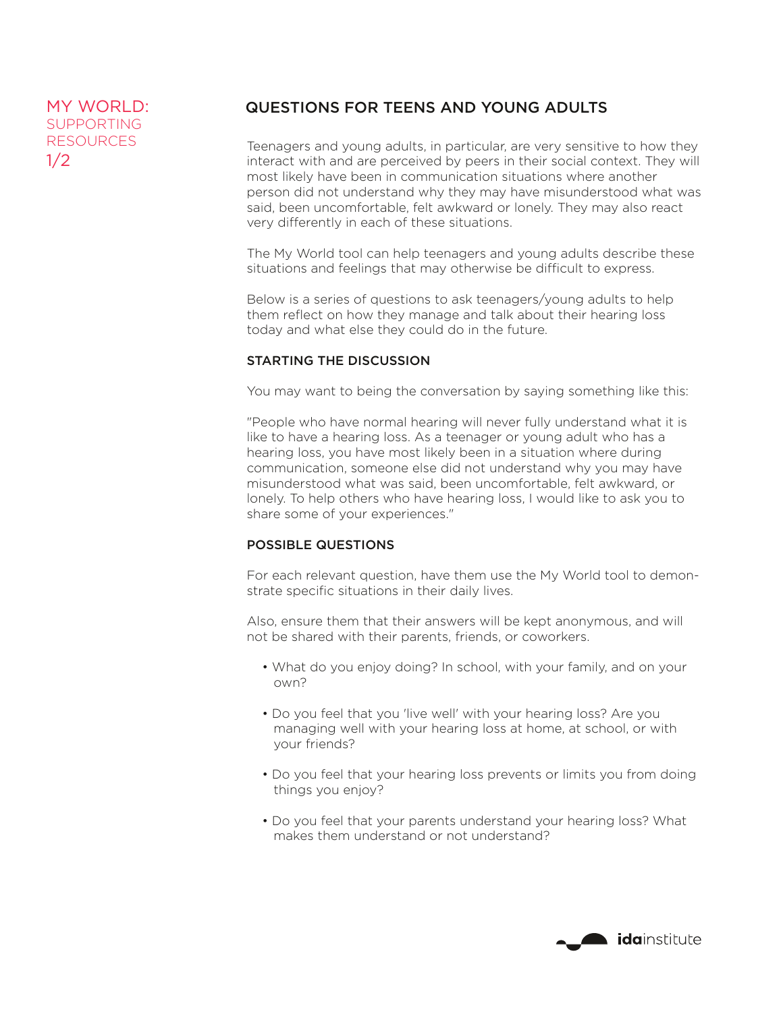## MY WORLD: QUESTIONS FOR TEENS AND YOUNG ADULTS

Teenagers and young adults, in particular, are very sensitive to how they interact with and are perceived by peers in their social context. They will most likely have been in communication situations where another person did not understand why they may have misunderstood what was said, been uncomfortable, felt awkward or lonely. They may also react very differently in each of these situations.

The My World tool can help teenagers and young adults describe these situations and feelings that may otherwise be difficult to express.

Below is a series of questions to ask teenagers/young adults to help them reflect on how they manage and talk about their hearing loss today and what else they could do in the future.

## STARTING THE DISCUSSION

You may want to being the conversation by saying something like this:

"People who have normal hearing will never fully understand what it is like to have a hearing loss. As a teenager or young adult who has a hearing loss, you have most likely been in a situation where during communication, someone else did not understand why you may have misunderstood what was said, been uncomfortable, felt awkward, or lonely. To help others who have hearing loss, I would like to ask you to share some of your experiences."

## POSSIBLE QUESTIONS

For each relevant question, have them use the My World tool to demonstrate specific situations in their daily lives.

Also, ensure them that their answers will be kept anonymous, and will not be shared with their parents, friends, or coworkers.

- What do you enjoy doing? In school, with your family, and on your own?
- Do you feel that you 'live well' with your hearing loss? Are you managing well with your hearing loss at home, at school, or with your friends?
- Do you feel that your hearing loss prevents or limits you from doing things you enjoy?
- Do you feel that your parents understand your hearing loss? What makes them understand or not understand?